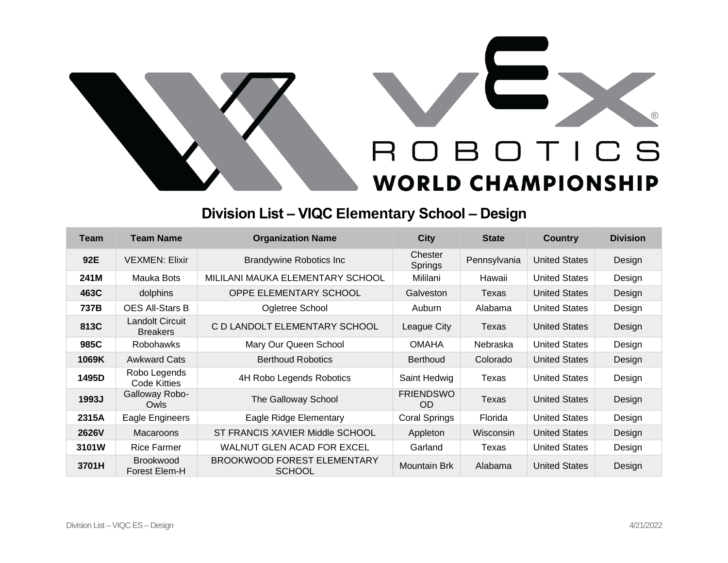

## ROBOTICS **WORLD CHAMPIONSHIP**

## **Division List – VIQC Elementary School – Design**

| <b>Team</b>  | <b>Team Name</b>                    | <b>Organization Name</b>                     | <b>City</b>             | <b>State</b> | <b>Country</b>       | <b>Division</b> |
|--------------|-------------------------------------|----------------------------------------------|-------------------------|--------------|----------------------|-----------------|
| 92E          | <b>VEXMEN: Elixir</b>               | <b>Brandywine Robotics Inc.</b>              | Chester<br>Springs      | Pennsylvania | <b>United States</b> | Design          |
| 241M         | Mauka Bots                          | MILILANI MAUKA ELEMENTARY SCHOOL             | Mililani                | Hawaii       | <b>United States</b> | Design          |
| 463C         | dolphins                            | OPPE ELEMENTARY SCHOOL                       | Galveston               | Texas        | <b>United States</b> | Design          |
| 737B         | <b>OES All-Stars B</b>              | Ogletree School                              | Auburn                  | Alabama      | <b>United States</b> | Design          |
| 813C         | Landolt Circuit<br><b>Breakers</b>  | C D LANDOLT ELEMENTARY SCHOOL                | League City             | Texas        | <b>United States</b> | Design          |
| 985C         | Robohawks                           | Mary Our Queen School                        | <b>OMAHA</b>            | Nebraska     | <b>United States</b> | Design          |
| 1069K        | <b>Awkward Cats</b>                 | <b>Berthoud Robotics</b>                     | <b>Berthoud</b>         | Colorado     | <b>United States</b> | Design          |
| 1495D        | Robo Legends<br><b>Code Kitties</b> | 4H Robo Legends Robotics                     | Saint Hedwig            | Texas        | <b>United States</b> | Design          |
| 1993J        | Galloway Robo-<br>Owls              | The Galloway School                          | <b>FRIENDSWO</b><br>OD. | Texas        | <b>United States</b> | Design          |
| 2315A        | Eagle Engineers                     | Eagle Ridge Elementary                       | Coral Springs           | Florida      | <b>United States</b> | Design          |
| <b>2626V</b> | Macaroons                           | ST FRANCIS XAVIER Middle SCHOOL              | Appleton                | Wisconsin    | <b>United States</b> | Design          |
| 3101W        | <b>Rice Farmer</b>                  | WALNUT GLEN ACAD FOR EXCEL                   | Garland                 | Texas        | <b>United States</b> | Design          |
| 3701H        | <b>Brookwood</b><br>Forest Elem-H   | BROOKWOOD FOREST ELEMENTARY<br><b>SCHOOL</b> | Mountain Brk            | Alabama      | <b>United States</b> | Design          |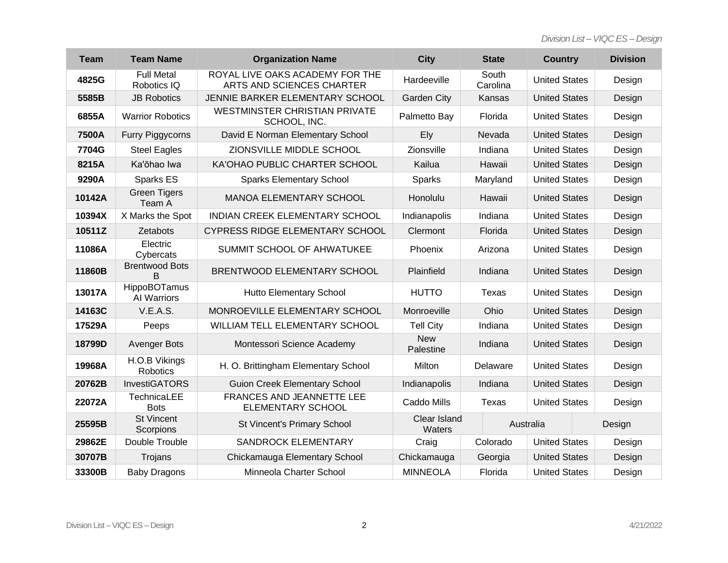*Division List – VIQC ES – Design*

| <b>Team</b> | <b>Team Name</b>                   | <b>Organization Name</b>                                     | <b>City</b>             | <b>State</b>      | <b>Country</b>       | <b>Division</b> |
|-------------|------------------------------------|--------------------------------------------------------------|-------------------------|-------------------|----------------------|-----------------|
| 4825G       | <b>Full Metal</b><br>Robotics IQ   | ROYAL LIVE OAKS ACADEMY FOR THE<br>ARTS AND SCIENCES CHARTER | Hardeeville             | South<br>Carolina | <b>United States</b> | Design          |
| 5585B       | <b>JB Robotics</b>                 | JENNIE BARKER ELEMENTARY SCHOOL                              | <b>Garden City</b>      | Kansas            | <b>United States</b> | Design          |
| 6855A       | <b>Warrior Robotics</b>            | <b>WESTMINSTER CHRISTIAN PRIVATE</b><br>SCHOOL, INC.         | Palmetto Bay            | Florida           | <b>United States</b> | Design          |
| 7500A       | Furry Piggycorns                   | David E Norman Elementary School                             | Ely                     | Nevada            | <b>United States</b> | Design          |
| 7704G       | <b>Steel Eagles</b>                | ZIONSVILLE MIDDLE SCHOOL                                     | Zionsville              | Indiana           | <b>United States</b> | Design          |
| 8215A       | Ka'ōhao Iwa                        | KA'OHAO PUBLIC CHARTER SCHOOL                                | Kailua                  | Hawaii            | <b>United States</b> | Design          |
| 9290A       | Sparks ES                          | <b>Sparks Elementary School</b>                              | <b>Sparks</b>           | Maryland          | <b>United States</b> | Design          |
| 10142A      | <b>Green Tigers</b><br>Team A      | <b>MANOA ELEMENTARY SCHOOL</b>                               | Honolulu                | Hawaii            | <b>United States</b> | Design          |
| 10394X      | X Marks the Spot                   | <b>INDIAN CREEK ELEMENTARY SCHOOL</b>                        | Indianapolis            | Indiana           | <b>United States</b> | Design          |
| 10511Z      | Zetabots                           | <b>CYPRESS RIDGE ELEMENTARY SCHOOL</b>                       | Clermont                | Florida           | <b>United States</b> | Design          |
| 11086A      | Electric<br>Cybercats              | SUMMIT SCHOOL OF AHWATUKEE                                   | Phoenix                 | Arizona           | <b>United States</b> | Design          |
| 11860B      | <b>Brentwood Bots</b><br>B         | BRENTWOOD ELEMENTARY SCHOOL                                  | Plainfield              | Indiana           | <b>United States</b> | Design          |
| 13017A      | <b>HippoBOTamus</b><br>Al Warriors | <b>Hutto Elementary School</b>                               | <b>HUTTO</b>            | Texas             | <b>United States</b> | Design          |
| 14163C      | V.E.A.S.                           | MONROEVILLE ELEMENTARY SCHOOL                                | Monroeville             | Ohio              | <b>United States</b> | Design          |
| 17529A      | Peeps                              | WILLIAM TELL ELEMENTARY SCHOOL                               | <b>Tell City</b>        | Indiana           | <b>United States</b> | Design          |
| 18799D      | <b>Avenger Bots</b>                | Montessori Science Academy                                   | <b>New</b><br>Palestine | Indiana           | <b>United States</b> | Design          |
| 19968A      | H.O.B Vikings<br>Robotics          | H. O. Brittingham Elementary School                          | Milton                  | Delaware          | <b>United States</b> | Design          |
| 20762B      | <b>InvestiGATORS</b>               | <b>Guion Creek Elementary School</b>                         | Indianapolis            | Indiana           | <b>United States</b> | Design          |
| 22072A      | TechnicaLEE<br><b>Bots</b>         | <b>FRANCES AND JEANNETTE LEE</b><br><b>ELEMENTARY SCHOOL</b> | Caddo Mills             | Texas             | <b>United States</b> | Design          |
| 25595B      | <b>St Vincent</b><br>Scorpions     | St Vincent's Primary School                                  | Clear Island<br>Waters  |                   | Australia            |                 |
| 29862E      | Double Trouble                     | <b>SANDROCK ELEMENTARY</b>                                   | Craig                   | Colorado          | <b>United States</b> | Design          |
| 30707B      | Trojans                            | Chickamauga Elementary School                                | Chickamauga             | Georgia           | <b>United States</b> | Design          |
| 33300B      | <b>Baby Dragons</b>                | Minneola Charter School                                      | <b>MINNEOLA</b>         | Florida           | <b>United States</b> | Design          |